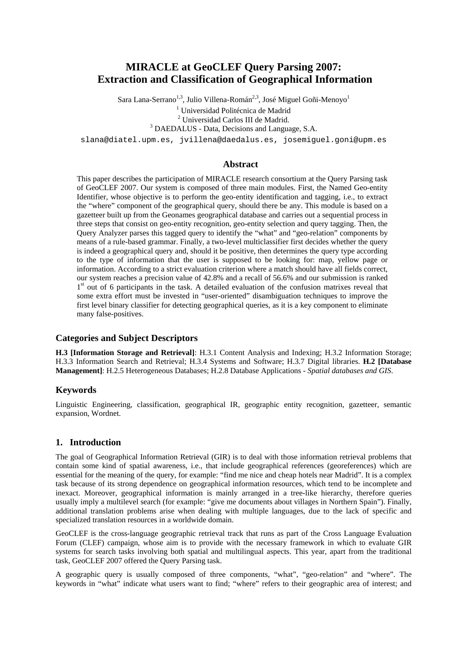# **MIRACLE at GeoCLEF Query Parsing 2007: Extraction and Classification of Geographical Information**

Sara Lana-Serrano<sup>1,3</sup>, Julio Villena-Román<sup>2,3</sup>, José Miguel Goñi-Menoyo<sup>1</sup>

<sup>1</sup> Universidad Politécnica de Madrid

<sup>2</sup> Universidad Carlos III de Madrid.

<sup>3</sup> DAEDALUS - Data, Decisions and Language, S.A.

slana@diatel.upm.es, jvillena@daedalus.es, josemiguel.goni@upm.es

#### **Abstract**

This paper describes the participation of MIRACLE research consortium at the Query Parsing task of GeoCLEF 2007. Our system is composed of three main modules. First, the Named Geo-entity Identifier, whose objective is to perform the geo-entity identification and tagging, i.e., to extract the "where" component of the geographical query, should there be any. This module is based on a gazetteer built up from the Geonames geographical database and carries out a sequential process in three steps that consist on geo-entity recognition, geo-entity selection and query tagging. Then, the Query Analyzer parses this tagged query to identify the "what" and "geo-relation" components by means of a rule-based grammar. Finally, a two-level multiclassifier first decides whether the query is indeed a geographical query and, should it be positive, then determines the query type according to the type of information that the user is supposed to be looking for: map, yellow page or information. According to a strict evaluation criterion where a match should have all fields correct, our system reaches a precision value of 42.8% and a recall of 56.6% and our submission is ranked 1<sup>st</sup> out of 6 participants in the task. A detailed evaluation of the confusion matrixes reveal that some extra effort must be invested in "user-oriented" disambiguation techniques to improve the first level binary classifier for detecting geographical queries, as it is a key component to eliminate many false-positives.

#### **Categories and Subject Descriptors**

**H.3 [Information Storage and Retrieval]**: H.3.1 Content Analysis and Indexing; H.3.2 Information Storage; H.3.3 Information Search and Retrieval; H.3.4 Systems and Software; H.3.7 Digital libraries. **H.2 [Database Management]**: H.2.5 Heterogeneous Databases; H.2.8 Database Applications - *Spatial databases and GIS*.

### **Keywords**

Linguistic Engineering, classification, geographical IR, geographic entity recognition, gazetteer, semantic expansion, Wordnet.

### **1. Introduction**

The goal of Geographical Information Retrieval (GIR) is to deal with those information retrieval problems that contain some kind of spatial awareness, i.e., that include geographical references (georeferences) which are essential for the meaning of the query, for example: "find me nice and cheap hotels near Madrid". It is a complex task because of its strong dependence on geographical information resources, which tend to be incomplete and inexact. Moreover, geographical information is mainly arranged in a tree-like hierarchy, therefore queries usually imply a multilevel search (for example: "give me documents about villages in Northern Spain"). Finally, additional translation problems arise when dealing with multiple languages, due to the lack of specific and specialized translation resources in a worldwide domain.

GeoCLEF is the cross-language geographic retrieval track that runs as part of the Cross Language Evaluation Forum (CLEF) campaign, whose aim is to provide with the necessary framework in which to evaluate GIR systems for search tasks involving both spatial and multilingual aspects. This year, apart from the traditional task, GeoCLEF 2007 offered the Query Parsing task.

A geographic query is usually composed of three components, "what", "geo-relation" and "where". The keywords in "what" indicate what users want to find; "where" refers to their geographic area of interest; and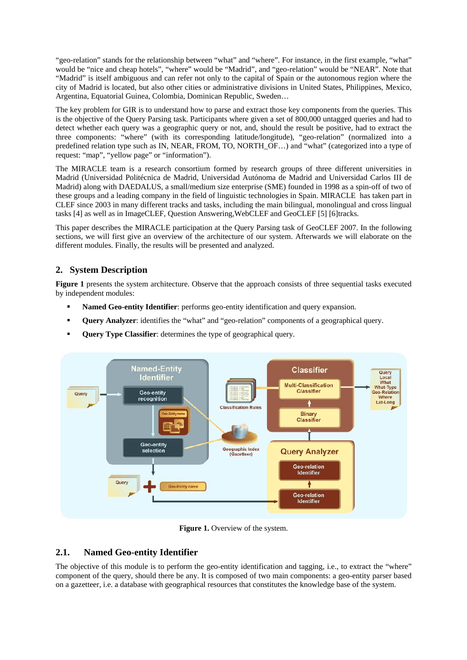"geo-relation" stands for the relationship between "what" and "where". For instance, in the first example, "what" would be "nice and cheap hotels", "where" would be "Madrid", and "geo-relation" would be "NEAR". Note that "Madrid" is itself ambiguous and can refer not only to the capital of Spain or the autonomous region where the city of Madrid is located, but also other cities or administrative divisions in United States, Philippines, Mexico, Argentina, Equatorial Guinea, Colombia, Dominican Republic, Sweden…

The key problem for GIR is to understand how to parse and extract those key components from the queries. This is the objective of the Query Parsing task. Participants where given a set of 800,000 untagged queries and had to detect whether each query was a geographic query or not, and, should the result be positive, had to extract the three components: "where" (with its corresponding latitude/longitude), "geo-relation" (normalized into a predefined relation type such as IN, NEAR, FROM, TO, NORTH\_OF…) and "what" (categorized into a type of request: "map", "yellow page" or "information").

The MIRACLE team is a research consortium formed by research groups of three different universities in Madrid (Universidad Politécnica de Madrid, Universidad Autónoma de Madrid and Universidad Carlos III de Madrid) along with DAEDALUS, a small/medium size enterprise (SME) founded in 1998 as a spin-off of two of these groups and a leading company in the field of linguistic technologies in Spain. MIRACLE has taken part in CLEF since 2003 in many different tracks and tasks, including the main bilingual, monolingual and cross lingual tasks [4] as well as in ImageCLEF, Question Answering,WebCLEF and GeoCLEF [5] [6]tracks.

This paper describes the MIRACLE participation at the Query Parsing task of GeoCLEF 2007. In the following sections, we will first give an overview of the architecture of our system. Afterwards we will elaborate on the different modules. Finally, the results will be presented and analyzed.

# **2. System Description**

**Figure 1** presents the system architecture. Observe that the approach consists of three sequential tasks executed by independent modules:

- **Named Geo-entity Identifier**: performs geo-entity identification and query expansion.
- **Query Analyzer**: identifies the "what" and "geo-relation" components of a geographical query.
- **Query Type Classifier:** determines the type of geographical query.



**Figure 1.** Overview of the system.

# **2.1. Named Geo-entity Identifier**

The objective of this module is to perform the geo-entity identification and tagging, i.e., to extract the "where" component of the query, should there be any. It is composed of two main components: a geo-entity parser based on a gazetteer, i.e. a database with geographical resources that constitutes the knowledge base of the system.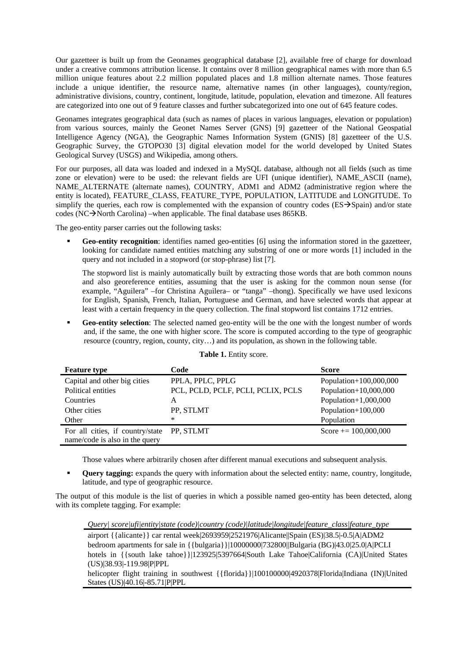Our gazetteer is built up from the Geonames geographical database [2], available free of charge for download under a creative commons attribution license. It contains over 8 million geographical names with more than 6.5 million unique features about 2.2 million populated places and 1.8 million alternate names. Those features include a unique identifier, the resource name, alternative names (in other languages), county/region, administrative divisions, country, continent, longitude, latitude, population, elevation and timezone. All features are categorized into one out of 9 feature classes and further subcategorized into one out of 645 feature codes.

Geonames integrates geographical data (such as names of places in various languages, elevation or population) from various sources, mainly the Geonet Names Server (GNS) [9] gazetteer of the National Geospatial Intelligence Agency (NGA), the Geographic Names Information System (GNIS) [8] gazetteer of the U.S. Geographic Survey, the GTOPO30 [3] digital elevation model for the world developed by United States Geological Survey (USGS) and Wikipedia, among others.

For our purposes, all data was loaded and indexed in a MySQL database, although not all fields (such as time zone or elevation) were to be used: the relevant fields are UFI (unique identifier), NAME\_ASCII (name), NAME\_ALTERNATE (alternate names), COUNTRY, ADM1 and ADM2 (administrative region where the entity is located), FEATURE\_CLASS, FEATURE\_TYPE, POPULATION, LATITUDE and LONGITUDE. To simplify the queries, each row is complemented with the expansion of country codes ( $ES\rightarrow Span$ ) and/or state codes (NC $\rightarrow$ North Carolina) –when applicable. The final database uses 865KB.

The geo-entity parser carries out the following tasks:

Geo-entity recognition: identifies named geo-entities [6] using the information stored in the gazetteer, looking for candidate named entities matching any substring of one or more words [1] included in the query and not included in a stopword (or stop-phrase) list [7].

The stopword list is mainly automatically built by extracting those words that are both common nouns and also georeference entities, assuming that the user is asking for the common noun sense (for example, "Aguilera" –for Christina Aguilera– or "tanga" –thong). Specifically we have used lexicons for English, Spanish, French, Italian, Portuguese and German, and have selected words that appear at least with a certain frequency in the query collection. The final stopword list contains 1712 entries.

**Geo-entity selection**: The selected named geo-entity will be the one with the longest number of words and, if the same, the one with higher score. The score is computed according to the type of geographic resource (country, region, county, city…) and its population, as shown in the following table.

| <b>Feature type</b>                        | Code                               | <b>Score</b>            |
|--------------------------------------------|------------------------------------|-------------------------|
| Capital and other big cities               | PPLA, PPLC, PPLG                   | Population+100,000,000  |
| Political entities                         | PCL, PCLD, PCLF, PCLI, PCLIX, PCLS | Population+10,000,000   |
| Countries                                  | A                                  | Population+ $1,000,000$ |
| Other cities                               | PP, STLMT                          | Population+100,000      |
| Other                                      | *                                  | Population              |
| For all cities, if country/state PP, STLMT |                                    | Score $+= 100,000,000$  |
| name/code is also in the query             |                                    |                         |

#### **Table 1.** Entity score.

Those values where arbitrarily chosen after different manual executions and subsequent analysis.

 **Query tagging:** expands the query with information about the selected entity: name, country, longitude, latitude, and type of geographic resource.

The output of this module is the list of queries in which a possible named geo-entity has been detected, along with its complete tagging. For example:

*Query| score|ufi|entity|state (code)|country (code)|latitude|longitude|feature\_class|feature\_type* 

airport {{alicante}} car rental week|2693959|2521976|Alicante||Spain (ES)|38.5|-0.5|A|ADM2 bedroom apartments for sale in {{bulgaria}}|10000000|732800||Bulgaria (BG)|43.0|25.0|A|PCLI hotels in {{south lake tahoe}}|123925|5397664|South Lake Tahoe|California (CA)|United States (US)|38.93|-119.98|P|PPL

helicopter flight training in southwest {{florida}}|100100000|4920378|Florida|Indiana (IN)|United States (US)|40.16|-85.71|P|PPL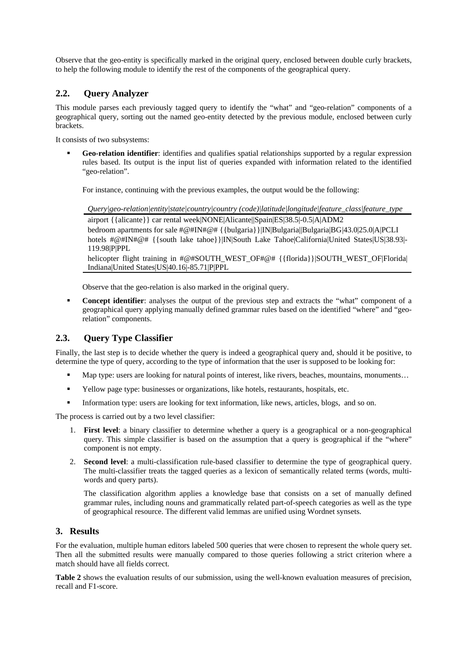Observe that the geo-entity is specifically marked in the original query, enclosed between double curly brackets, to help the following module to identify the rest of the components of the geographical query.

# **2.2. Query Analyzer**

This module parses each previously tagged query to identify the "what" and "geo-relation" components of a geographical query, sorting out the named geo-entity detected by the previous module, enclosed between curly brackets.

It consists of two subsystems:

 **Geo-relation identifier**: identifies and qualifies spatial relationships supported by a regular expression rules based. Its output is the input list of queries expanded with information related to the identified "geo-relation".

For instance, continuing with the previous examples, the output would be the following:

*Query|geo-relation|entity|state|country|country (code)|latitude|longitude|feature\_class|feature\_type*  airport {{alicante}} car rental week|NONE|Alicante||Spain|ES|38.5|-0.5|A|ADM2 bedroom apartments for sale #@#IN#@# {{bulgaria}}|IN|Bulgaria||Bulgaria|BG |43.0|25.0|A|PCLI hotels #@#IN#@# {{south lake tahoe}}|IN|South Lake Tahoe|California|United States|US|38.93|-119.98|P|PPL helicopter flight training in #@#SOUTH\_WEST\_OF#@# {{florida}}|SOUTH\_WEST\_OF|Florida| Indiana|United States|US|40.16|-85.71|P|PPL

Observe that the geo-relation is also marked in the original query.

**Concept identifier**: analyses the output of the previous step and extracts the "what" component of a geographical query applying manually defined grammar rules based on the identified "where" and "georelation" components.

# **2.3. Query Type Classifier**

Finally, the last step is to decide whether the query is indeed a geographical query and, should it be positive, to determine the type of query, according to the type of information that the user is supposed to be looking for:

- Map type: users are looking for natural points of interest, like rivers, beaches, mountains, monuments…
- Yellow page type: businesses or organizations, like hotels, restaurants, hospitals, etc.
- Information type: users are looking for text information, like news, articles, blogs, and so on.

The process is carried out by a two level classifier:

- 1. **First level**: a binary classifier to determine whether a query is a geographical or a non-geographical query. This simple classifier is based on the assumption that a query is geographical if the "where" component is not empty.
- 2. **Second level**: a multi-classification rule-based classifier to determine the type of geographical query. The multi-classifier treats the tagged queries as a lexicon of semantically related terms (words, multiwords and query parts).

The classification algorithm applies a knowledge base that consists on a set of manually defined grammar rules, including nouns and grammatically related part-of-speech categories as well as the type of geographical resource. The different valid lemmas are unified using Wordnet synsets.

### **3. Results**

For the evaluation, multiple human editors labeled 500 queries that were chosen to represent the whole query set. Then all the submitted results were manually compared to those queries following a strict criterion where a match should have all fields correct.

**Table 2** shows the evaluation results of our submission, using the well-known evaluation measures of precision, recall and F1-score.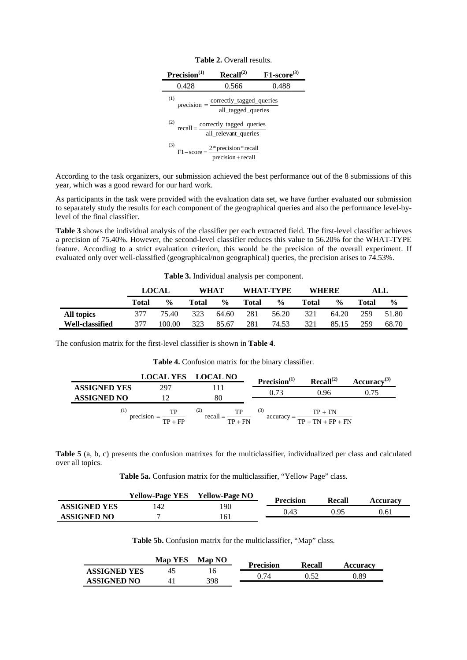| Precision <sup>(1)</sup> | Recall <sup>(2)</sup>                                                                     | $F1$ -score <sup>(3)</sup> |
|--------------------------|-------------------------------------------------------------------------------------------|----------------------------|
| 0.428                    | 0.566                                                                                     | 0.488                      |
| (1)                      | $precision = \frac{correctly\_tagged\_queries}{}$<br>all_tagged_queries                   |                            |
| (2)                      | $\text{recall} = \frac{\text{correctly\_tagged\_queries}}{\text{all\_relevant\_queries}}$ |                            |
| (3)                      | $F1-score = \frac{2 * precision * recall}{precision + recall}$                            |                            |

| <b>Table 2.</b> Overall results. |  |
|----------------------------------|--|
|----------------------------------|--|

According to the task organizers, our submission achieved the best performance out of the 8 submissions of this year, which was a good reward for our hard work.

As participants in the task were provided with the evaluation data set, we have further evaluated our submission to separately study the results for each component of the geographical queries and also the performance level-bylevel of the final classifier.

**Table 3** shows the individual analysis of the classifier per each extracted field. The first-level classifier achieves a precision of 75.40%. However, the second-level classifier reduces this value to 56.20% for the WHAT-TYPE feature. According to a strict evaluation criterion, this would be the precision of the overall experiment. If evaluated only over well-classified (geographical/non geographical) queries, the precision arises to 74.53%.

|                        |       | <b>LOCAL</b>  | WHAT  |               |       | WHAT-TYPE     | <b>WHERE</b> |               |       | ALL           |
|------------------------|-------|---------------|-------|---------------|-------|---------------|--------------|---------------|-------|---------------|
|                        | Total | $\frac{0}{0}$ | Total | $\frac{6}{9}$ | Total | $\frac{6}{9}$ | Total        | $\frac{0}{0}$ | Total | $\frac{6}{9}$ |
| All topics             | 377   | 75.40         | 323   | 64.60         | 281   | 56.20         | 321          | 64.20         | 259   | 51.80         |
| <b>Well-classified</b> | 377   | 100.00        | 323   | 85.67         | 281   | 74.53         | 321          | 85.15         | 259   | 68.70         |

The confusion matrix for the first-level classifier is shown in **Table 4**.

**Table 4.** Confusion matrix for the binary classifier.

|                     | <b>LOCAL YES</b>                                         | <b>LOCAL NO</b>                                 | Precision <sup>(1)</sup>         | Recall <sup>(2)</sup>            | $Accuracy^{(3)}$ |
|---------------------|----------------------------------------------------------|-------------------------------------------------|----------------------------------|----------------------------------|------------------|
| <b>ASSIGNED YES</b> | 297                                                      |                                                 |                                  |                                  |                  |
| <b>ASSIGNED NO</b>  |                                                          | 80                                              |                                  | 0.96                             | 0.75             |
| $^{(1)}$            | $\frac{TP}{TP + FP}$<br>$\cdot$ $\cdot$<br>$precision =$ | (2)<br>$T_{\perp}$<br>$recall = -$<br>$TP + FN$ | $\left(3\right)$<br>$accuracy =$ | $TP + TN$<br>$TP + TN + FP + FN$ |                  |

**Table 5** (a, b, c) presents the confusion matrixes for the multiclassifier, individualized per class and calculated over all topics.

**Table 5a.** Confusion matrix for the multiclassifier, "Yellow Page" class.

|                     | <b>Yellow-Page YES</b> | <b>Yellow-Page NO</b> | <b>Precision</b> | <b>Recall</b> | <b>Accuracy</b> |
|---------------------|------------------------|-----------------------|------------------|---------------|-----------------|
| <b>ASSIGNED YES</b> |                        | 190                   | 0.43             | በ ዓና          | 0.61            |
| <b>ASSIGNED NO</b>  |                        | 161                   |                  |               |                 |

**Table 5b.** Confusion matrix for the multiclassifier, "Map" class.

|                     | <b>Map YES</b> | <b>Map NO</b> | Precision | Recall | <b>Accuracy</b> |
|---------------------|----------------|---------------|-----------|--------|-----------------|
| <b>ASSIGNED YES</b> | 45             | 16            |           |        | .89             |
| <b>ASSIGNED NO</b>  | 41             | 398           |           |        |                 |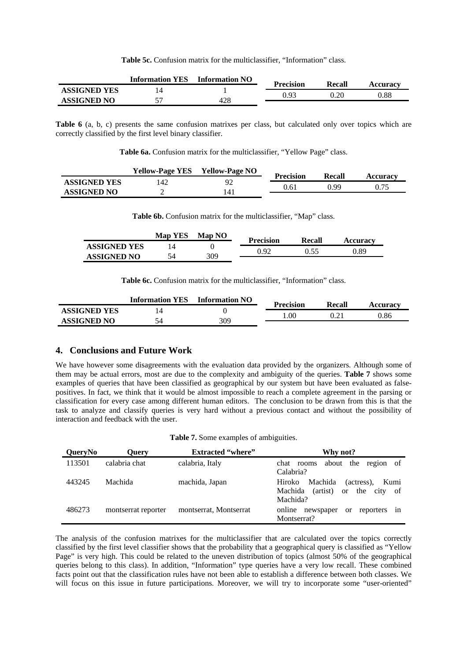Table 5c. Confusion matrix for the multiclassifier, "Information" class.

|                     | <b>Information YES</b> | <b>Information NO</b> | <b>Precision</b> | Recall | <b>Accuracy</b> |
|---------------------|------------------------|-----------------------|------------------|--------|-----------------|
| <b>ASSIGNED YES</b> |                        |                       | በ ባ?             |        |                 |
| <b>ASSIGNED NO</b>  |                        | 428                   |                  |        | 0.88            |

**Table 6** (a, b, c) presents the same confusion matrixes per class, but calculated only over topics which are correctly classified by the first level binary classifier.

Table 6a. Confusion matrix for the multiclassifier, "Yellow Page" class.

|                     | <b>Yellow-Page YES</b> | <b>Yellow-Page NO</b> | <b>Precision</b> | Recall | <b>Accuracy</b> |
|---------------------|------------------------|-----------------------|------------------|--------|-----------------|
| <b>ASSIGNED YES</b> | '42                    | o٬                    |                  | 0.90   |                 |
| <b>ASSIGNED NO</b>  |                        |                       | 0.61             |        |                 |

**Table 6b.** Confusion matrix for the multiclassifier, "Map" class.

|                     | <b>Map YES</b> | <b>Map NO</b> | <b>Precision</b> | Recall |                 |
|---------------------|----------------|---------------|------------------|--------|-----------------|
| <b>ASSIGNED YES</b> |                |               |                  | า รร   | <b>Accuracy</b> |
| <b>ASSIGNED NO</b>  | 54             | 309           | 192              |        | 1.89            |

Table 6c. Confusion matrix for the multiclassifier, "Information" class.

|                     | <b>Information YES</b> | <b>Information NO</b> | <b>Precision</b> | Recall | <b>Accuracy</b> |
|---------------------|------------------------|-----------------------|------------------|--------|-----------------|
| <b>ASSIGNED YES</b> |                        |                       | .00.             |        |                 |
| <b>ASSIGNED NO</b>  |                        | 309                   |                  |        | 0.86            |

#### **4. Conclusions and Future Work**

We have however some disagreements with the evaluation data provided by the organizers. Although some of them may be actual errors, most are due to the complexity and ambiguity of the queries. **Table 7** shows some examples of queries that have been classified as geographical by our system but have been evaluated as falsepositives. In fact, we think that it would be almost impossible to reach a complete agreement in the parsing or classification for every case among different human editors. The conclusion to be drawn from this is that the task to analyze and classify queries is very hard without a previous contact and without the possibility of interaction and feedback with the user.

| QueryNo | Ouerv               | <b>Extracted "where"</b> | Why not?                                                                                                   |
|---------|---------------------|--------------------------|------------------------------------------------------------------------------------------------------------|
| 113501  | calabria chat       | calabria, Italy          | about the region of<br>chat rooms<br>Calabria?                                                             |
| 443245  | Machida             | machida, Japan           | Machida<br>(actress).<br>Hiroko<br>Kumi<br>(artist)<br>the city of<br>Machida<br><sub>or</sub><br>Machida? |
| 486273  | montserrat reporter | montserrat, Montserrat   | online newspaper<br>reporters in<br><sub>or</sub><br>Montserrat?                                           |

The analysis of the confusion matrixes for the multiclassifier that are calculated over the topics correctly classified by the first level classifier shows that the probability that a geographical query is classified as "Yellow Page" is very high. This could be related to the uneven distribution of topics (almost 50% of the geographical queries belong to this class). In addition, "Information" type queries have a very low recall. These combined facts point out that the classification rules have not been able to establish a difference between both classes. We will focus on this issue in future participations. Moreover, we will try to incorporate some "user-oriented"